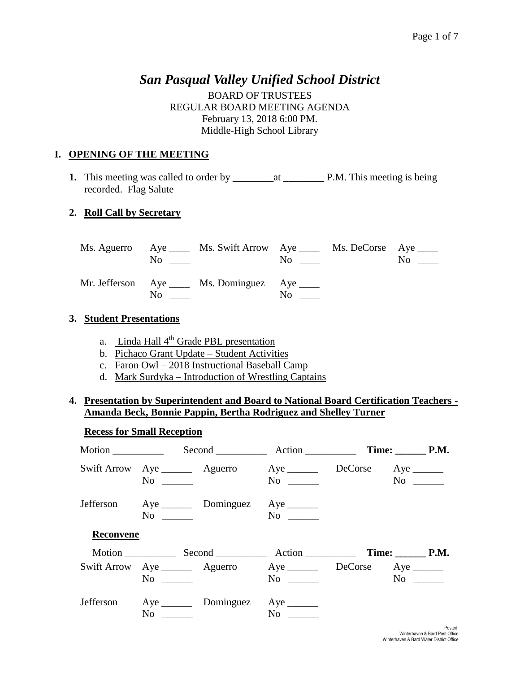## *San Pasqual Valley Unified School District*

BOARD OF TRUSTEES REGULAR BOARD MEETING AGENDA February 13, 2018 6:00 PM. Middle-High School Library

## **I. OPENING OF THE MEETING**

**1.** This meeting was called to order by \_\_\_\_\_\_\_\_at \_\_\_\_\_\_\_\_ P.M. This meeting is being recorded. Flag Salute

## **2. Roll Call by Secretary**

|     | Ms. Aguerro Aye ______ Ms. Swift Arrow Aye ______ Ms. DeCorse Aye _____<br>$\rm No$ |                      | $\overline{\text{No}}$ | $\rm No$ |
|-----|-------------------------------------------------------------------------------------|----------------------|------------------------|----------|
| No. | Mr. Jefferson Aye ____ Ms. Dominguez Aye ____                                       | $\mathrm{No}$ $\_\_$ |                        |          |

#### **3. Student Presentations**

- a. Linda Hall  $4<sup>th</sup>$  Grade PBL presentation
- b. Pichaco Grant Update Student Activities
- c. Faron Owl 2018 Instructional Baseball Camp
- d. Mark Surdyka Introduction of Wrestling Captains

## **4. Presentation by Superintendent and Board to National Board Certification Teachers - Amanda Beck, Bonnie Pappin, Bertha Rodriguez and Shelley Turner**

# **Recess for Small Reception** Motion \_\_\_\_\_\_\_\_\_\_ Second \_\_\_\_\_\_\_\_\_\_ Action \_\_\_\_\_\_\_\_\_\_ **Time: \_\_\_\_\_\_ P.M.** Swift Arrow Aye \_\_\_\_\_\_\_ Aguerro Aye \_\_\_\_\_\_ DeCorse Aye \_\_\_\_\_\_ No \_\_\_\_\_\_ No \_\_\_\_\_ No \_\_\_\_\_ No \_\_\_\_\_ Jefferson Aye \_\_\_\_\_\_ Dominguez Aye \_\_\_\_\_\_ No \_\_\_\_\_\_ No \_\_\_\_\_\_ **Reconvene** Motion Second Action Time: P.M. Swift Arrow Aye \_\_\_\_\_\_ Aguerro Aye \_\_\_\_\_ DeCorse Aye \_\_\_\_\_ No \_\_\_\_\_\_\_ No \_\_\_\_\_ No \_\_\_\_\_ No \_\_\_\_\_\_ Jefferson Aye \_\_\_\_\_\_ Dominguez Aye \_\_\_\_\_\_ No \_\_\_\_\_\_ No \_\_\_\_\_\_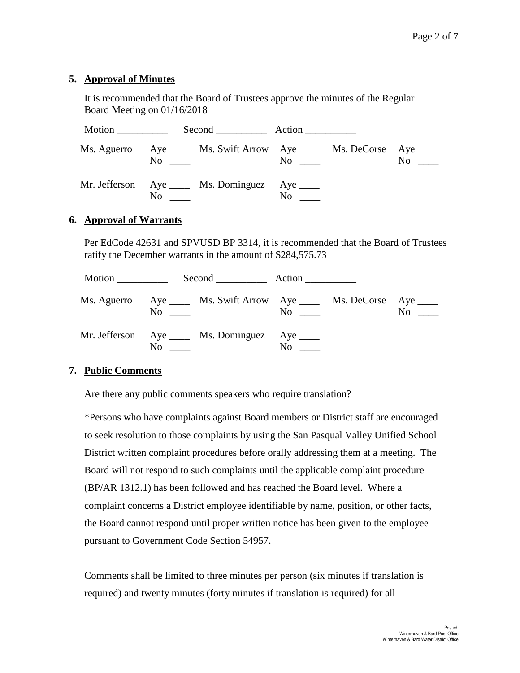## **5. Approval of Minutes**

It is recommended that the Board of Trustees approve the minutes of the Regular Board Meeting on 01/16/2018

| Motion _____________ |     |                                                                                     |     |                                                 |    |
|----------------------|-----|-------------------------------------------------------------------------------------|-----|-------------------------------------------------|----|
|                      |     | Ms. Aguerro Aye ______ Ms. Swift Arrow Aye ______ Ms. DeCorse Aye _____<br>$\rm No$ |     | $\overline{\text{No}}$ $\overline{\phantom{a}}$ | No |
|                      | No. | Mr. Jefferson Aye ____ Ms. Dominguez Aye ____                                       | No. |                                                 |    |

#### **6. Approval of Warrants**

Per EdCode 42631 and SPVUSD BP 3314, it is recommended that the Board of Trustees ratify the December warrants in the amount of \$284,575.73

| Motion |     |                                                                                                                          |                                           |                |
|--------|-----|--------------------------------------------------------------------------------------------------------------------------|-------------------------------------------|----------------|
|        |     | Ms. Aguerro Aye _____ Ms. Swift Arrow Aye _____ Ms. DeCorse Aye _____<br>$\overline{\text{No}}$ $\overline{\phantom{0}}$ | $\overline{N}$ o $\overline{\phantom{0}}$ | N <sub>0</sub> |
|        | No. | Mr. Jefferson Aye ____ Ms. Dominguez Aye ____                                                                            | N <sub>0</sub>                            |                |

#### **7. Public Comments**

Are there any public comments speakers who require translation?

\*Persons who have complaints against Board members or District staff are encouraged to seek resolution to those complaints by using the San Pasqual Valley Unified School District written complaint procedures before orally addressing them at a meeting. The Board will not respond to such complaints until the applicable complaint procedure (BP/AR 1312.1) has been followed and has reached the Board level. Where a complaint concerns a District employee identifiable by name, position, or other facts, the Board cannot respond until proper written notice has been given to the employee pursuant to Government Code Section 54957.

Comments shall be limited to three minutes per person (six minutes if translation is required) and twenty minutes (forty minutes if translation is required) for all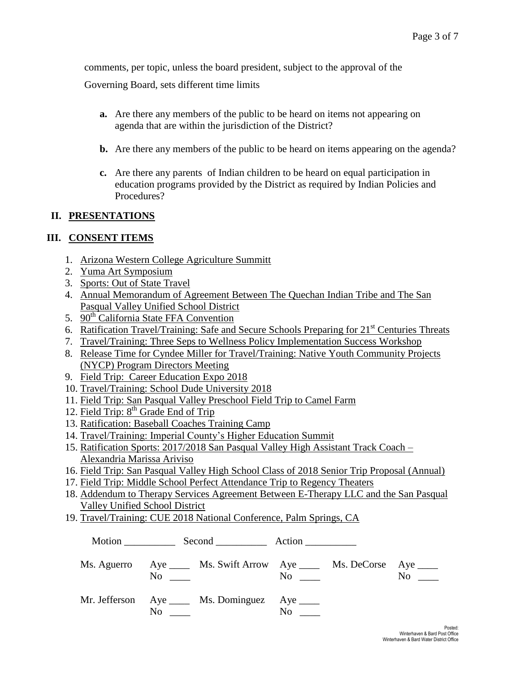comments, per topic, unless the board president, subject to the approval of the

Governing Board, sets different time limits

- **a.** Are there any members of the public to be heard on items not appearing on agenda that are within the jurisdiction of the District?
- **b.** Are there any members of the public to be heard on items appearing on the agenda?
- **c.** Are there any parents of Indian children to be heard on equal participation in education programs provided by the District as required by Indian Policies and Procedures?

#### **II. PRESENTATIONS**

#### **III. CONSENT ITEMS**

- 1. Arizona Western College Agriculture Summitt
- 2. Yuma Art Symposium
- 3. Sports: Out of State Travel
- 4. Annual Memorandum of Agreement Between The Quechan Indian Tribe and The San Pasqual Valley Unified School District
- 5. 90<sup>th</sup> California State FFA Convention
- 6. Ratification Travel/Training: Safe and Secure Schools Preparing for  $21<sup>st</sup>$  Centuries Threats
- 7. Travel/Training: Three Seps to Wellness Policy Implementation Success Workshop
- 8. Release Time for Cyndee Miller for Travel/Training: Native Youth Community Projects (NYCP) Program Directors Meeting
- 9. Field Trip: Career Education Expo 2018
- 10. Travel/Training: School Dude University 2018
- 11. Field Trip: San Pasqual Valley Preschool Field Trip to Camel Farm
- 12. Field Trip: 8<sup>th</sup> Grade End of Trip
- 13. Ratification: Baseball Coaches Training Camp
- 14. Travel/Training: Imperial County's Higher Education Summit
- 15. Ratification Sports: 2017/2018 San Pasqual Valley High Assistant Track Coach Alexandria Marissa Ariviso
- 16. Field Trip: San Pasqual Valley High School Class of 2018 Senior Trip Proposal (Annual)
- 17. Field Trip: Middle School Perfect Attendance Trip to Regency Theaters
- 18. Addendum to Therapy Services Agreement Between E-Therapy LLC and the San Pasqual Valley Unified School District
- 19. Travel/Training: CUE 2018 National Conference, Palm Springs, CA

| $No \ \_$ | Ms. Aguerro Aye _____ Ms. Swift Arrow Aye _____ Ms. DeCorse Aye ____ | $\mathbf{No}$ | $No \_\_$ |
|-----------|----------------------------------------------------------------------|---------------|-----------|
|           | Mr. Jefferson Aye _____ Ms. Dominguez Aye _____                      | $\rm No$      |           |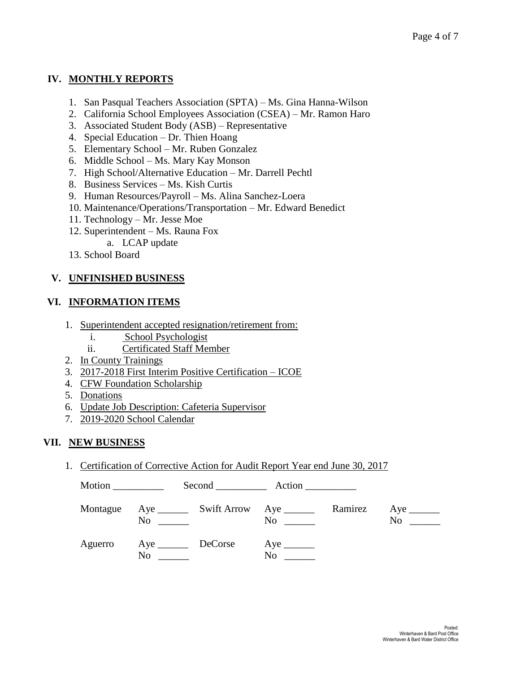## **IV. MONTHLY REPORTS**

- 1. San Pasqual Teachers Association (SPTA) Ms. Gina Hanna-Wilson
- 2. California School Employees Association (CSEA) Mr. Ramon Haro
- 3. Associated Student Body (ASB) Representative
- 4. Special Education Dr. Thien Hoang
- 5. Elementary School Mr. Ruben Gonzalez
- 6. Middle School Ms. Mary Kay Monson
- 7. High School/Alternative Education Mr. Darrell Pechtl
- 8. Business Services Ms. Kish Curtis
- 9. Human Resources/Payroll Ms. Alina Sanchez-Loera
- 10. Maintenance/Operations/Transportation Mr. Edward Benedict
- 11. Technology Mr. Jesse Moe
- 12. Superintendent Ms. Rauna Fox
	- a. LCAP update
- 13. School Board

## **V. UNFINISHED BUSINESS**

## **VI. INFORMATION ITEMS**

- 1. Superintendent accepted resignation/retirement from:
	- i. School Psychologist
	- ii. Certificated Staff Member
- 2. In County Trainings
- 3. 2017-2018 First Interim Positive Certification ICOE
- 4. CFW Foundation Scholarship
- 5. Donations
- 6. Update Job Description: Cafeteria Supervisor
- 7. 2019-2020 School Calendar

## **VII. NEW BUSINESS**

1. Certification of Corrective Action for Audit Report Year end June 30, 2017

Motion \_\_\_\_\_\_\_\_\_\_ Second \_\_\_\_\_\_\_\_\_\_ Action \_\_\_\_\_\_\_\_\_\_ Montague Aye \_\_\_\_\_\_\_ Swift Arrow Aye \_\_\_\_\_\_\_ Ramirez Aye \_\_\_\_\_\_ No \_\_\_\_\_\_ No \_\_\_\_\_ No \_\_\_\_ No \_\_\_\_\_ Aguerro Aye DeCorse Aye \_\_\_\_\_\_\_ No  $\hbox{No}$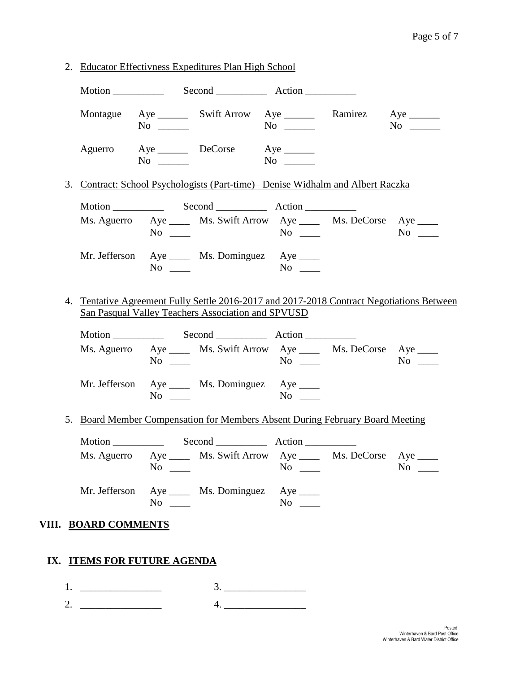|                             | $No \_$   | Montague Aye ________ Swift Arrow Aye _________ Ramirez Aye ________                                                                            | $No \t —$        |                                                                               | $No \_$   |
|-----------------------------|-----------|-------------------------------------------------------------------------------------------------------------------------------------------------|------------------|-------------------------------------------------------------------------------|-----------|
|                             | $No \t —$ | Aguerro Aye DeCorse Aye                                                                                                                         |                  |                                                                               |           |
|                             |           | 3. Contract: School Psychologists (Part-time) – Denise Widhalm and Albert Raczka                                                                |                  |                                                                               |           |
|                             |           |                                                                                                                                                 |                  |                                                                               |           |
|                             | $No \ \_$ | Ms. Aguerro Aye _____ Ms. Swift Arrow Aye _____ Ms. DeCorse Aye ____                                                                            |                  |                                                                               | $No \ \_$ |
|                             | $No \ \_$ | Mr. Jefferson Aye _____ Ms. Dominguez Aye ____                                                                                                  |                  |                                                                               |           |
|                             |           | 4. Tentative Agreement Fully Settle 2016-2017 and 2017-2018 Contract Negotiations Between<br>San Pasqual Valley Teachers Association and SPVUSD |                  |                                                                               |           |
|                             |           |                                                                                                                                                 |                  |                                                                               |           |
|                             | $No \ \_$ | Ms. Aguerro Aye _____ Ms. Swift Arrow Aye _____ Ms. DeCorse Aye ____                                                                            |                  |                                                                               | $No \_$   |
|                             | $No \ \_$ | Mr. Jefferson Aye _____ Ms. Dominguez Aye ____                                                                                                  |                  |                                                                               |           |
|                             |           |                                                                                                                                                 |                  | 5. Board Member Compensation for Members Absent During February Board Meeting |           |
|                             |           |                                                                                                                                                 |                  |                                                                               |           |
|                             |           |                                                                                                                                                 |                  |                                                                               |           |
|                             | $No \_$   | Ms. Aguerro Aye _____ Ms. Swift Arrow Aye _____ Ms. DeCorse Aye ____                                                                            |                  |                                                                               |           |
|                             | $No \ \_$ | Mr. Jefferson Aye _____ Ms. Dominguez Aye ____                                                                                                  | $\overline{N_0}$ |                                                                               |           |
| VIII. BOARD COMMENTS        |           |                                                                                                                                                 |                  |                                                                               |           |
| IX. ITEMS FOR FUTURE AGENDA |           |                                                                                                                                                 |                  |                                                                               |           |
|                             |           |                                                                                                                                                 |                  |                                                                               | $No \ \_$ |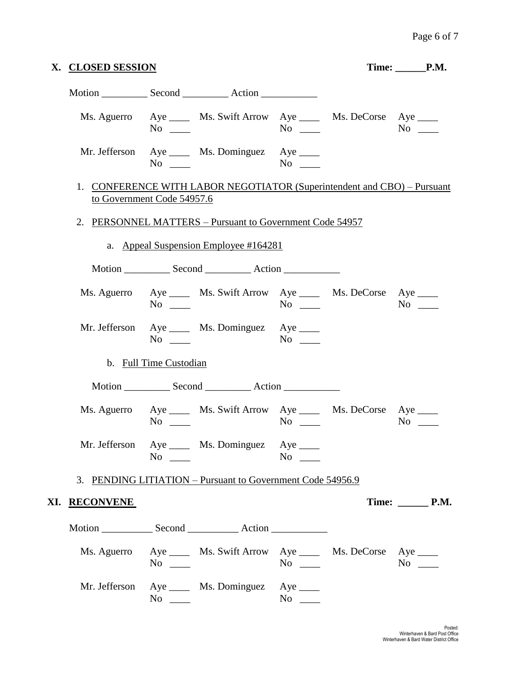| X. CLOSED SESSION    |                                                                                                       |  | Time: <u>CP.M.</u> |            |
|----------------------|-------------------------------------------------------------------------------------------------------|--|--------------------|------------|
|                      |                                                                                                       |  |                    |            |
|                      | Ms. Aguerro Aye _____ Ms. Swift Arrow Aye _____ Ms. DeCorse Aye ____<br>$No \_\_$                     |  | $\overline{N_0}$   |            |
|                      | Mr. Jefferson Aye _____ Ms. Dominguez Aye ____<br>$No \ \_$                                           |  |                    |            |
|                      | 1. CONFERENCE WITH LABOR NEGOTIATOR (Superintendent and CBO) - Pursuant<br>to Government Code 54957.6 |  |                    |            |
|                      | 2. PERSONNEL MATTERS – Pursuant to Government Code 54957                                              |  |                    |            |
|                      | a. Appeal Suspension Employee #164281                                                                 |  |                    |            |
|                      |                                                                                                       |  |                    |            |
|                      | Ms. Aguerro Aye _____ Ms. Swift Arrow Aye _____ Ms. DeCorse Aye ____<br>$No \ \_$                     |  | $No \_\_$          | $No \_$    |
|                      | Mr. Jefferson Aye _____ Ms. Dominguez Aye _____<br>$No \ \_$                                          |  | $No \ \_$          |            |
|                      | b. Full Time Custodian                                                                                |  |                    |            |
|                      |                                                                                                       |  |                    |            |
|                      | Ms. Aguerro Aye _____ Ms. Swift Arrow Aye _____ Ms. DeCorse Aye ____<br>$No \ \_$                     |  | $No \ \_$          | $No \_$    |
|                      | Mr. Jefferson Aye _____ Ms. Dominguez Aye _____<br>$No \ \_$                                          |  | $No \ \_$          |            |
|                      | 3. PENDING LITIATION – Pursuant to Government Code 54956.9                                            |  |                    |            |
| XI. <u>RECONVENE</u> |                                                                                                       |  |                    | Time: P.M. |
|                      |                                                                                                       |  |                    |            |
|                      | Ms. Aguerro Aye ______ Ms. Swift Arrow Aye ______ Ms. DeCorse Aye _____<br>$No \_$                    |  | $No \_\_$          | $No \t —$  |
|                      | Mr. Jefferson Aye _____ Ms. Dominguez Aye ____<br>$No \ \_$                                           |  | $No \_$            |            |